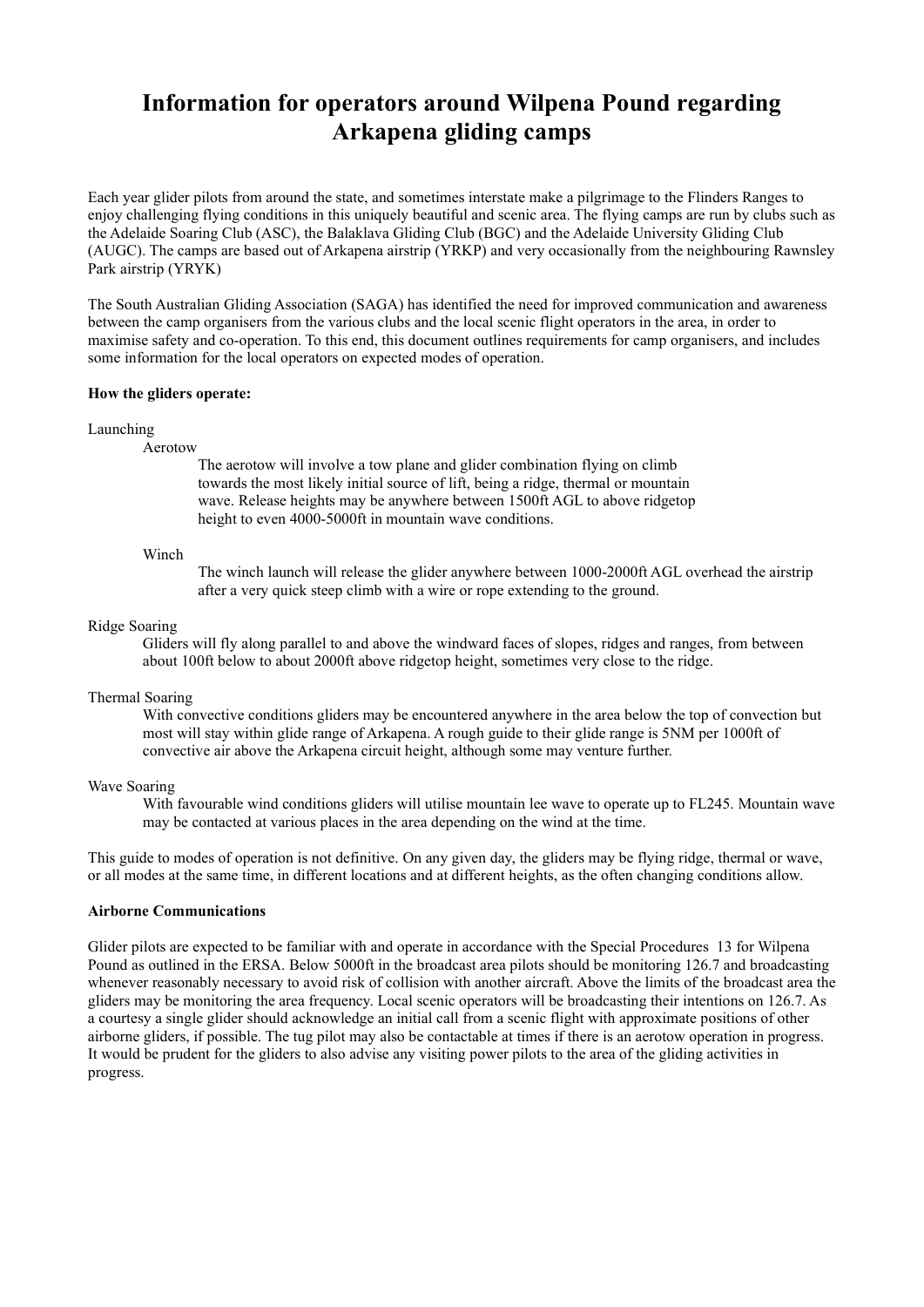# Information for operators around Wilpena Pound regarding Arkapena gliding camps

Each year glider pilots from around the state, and sometimes interstate make a pilgrimage to the Flinders Ranges to enjoy challenging flying conditions in this uniquely beautiful and scenic area. The flying camps are run by clubs such as the Adelaide Soaring Club (ASC), the Balaklava Gliding Club (BGC) and the Adelaide University Gliding Club (AUGC). The camps are based out of Arkapena airstrip (YRKP) and very occasionally from the neighbouring Rawnsley Park airstrip (YRYK)

The South Australian Gliding Association (SAGA) has identified the need for improved communication and awareness between the camp organisers from the various clubs and the local scenic flight operators in the area, in order to maximise safety and co-operation. To this end, this document outlines requirements for camp organisers, and includes some information for the local operators on expected modes of operation.

#### How the gliders operate:

#### Launching

#### Aerotow

 The aerotow will involve a tow plane and glider combination flying on climb towards the most likely initial source of lift, being a ridge, thermal or mountain wave. Release heights may be anywhere between 1500ft AGL to above ridgetop height to even 4000-5000ft in mountain wave conditions.

#### Winch

 The winch launch will release the glider anywhere between 1000-2000ft AGL overhead the airstrip after a very quick steep climb with a wire or rope extending to the ground.

#### Ridge Soaring

 Gliders will fly along parallel to and above the windward faces of slopes, ridges and ranges, from between about 100ft below to about 2000ft above ridgetop height, sometimes very close to the ridge.

#### Thermal Soaring

 With convective conditions gliders may be encountered anywhere in the area below the top of convection but most will stay within glide range of Arkapena. A rough guide to their glide range is 5NM per 1000ft of convective air above the Arkapena circuit height, although some may venture further.

#### Wave Soaring

 With favourable wind conditions gliders will utilise mountain lee wave to operate up to FL245. Mountain wave may be contacted at various places in the area depending on the wind at the time.

This guide to modes of operation is not definitive. On any given day, the gliders may be flying ridge, thermal or wave, or all modes at the same time, in different locations and at different heights, as the often changing conditions allow.

### Airborne Communications

Glider pilots are expected to be familiar with and operate in accordance with the Special Procedures 13 for Wilpena Pound as outlined in the ERSA. Below 5000ft in the broadcast area pilots should be monitoring 126.7 and broadcasting whenever reasonably necessary to avoid risk of collision with another aircraft. Above the limits of the broadcast area the gliders may be monitoring the area frequency. Local scenic operators will be broadcasting their intentions on 126.7. As a courtesy a single glider should acknowledge an initial call from a scenic flight with approximate positions of other airborne gliders, if possible. The tug pilot may also be contactable at times if there is an aerotow operation in progress. It would be prudent for the gliders to also advise any visiting power pilots to the area of the gliding activities in progress.